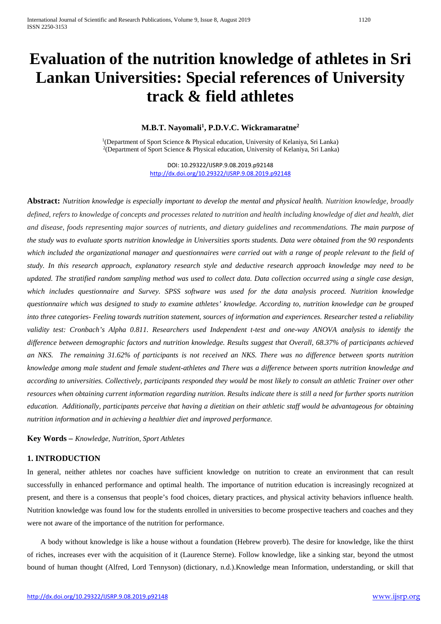### **M.B.T. Nayomali1 , P.D.V.C. Wickramaratne2**

<sup>1</sup>(Department of Sport Science & Physical education, University of Kelaniya, Sri Lanka) 2(Department of Sport Science & Physical education, University of Kelaniya, Sri Lanka)

> DOI: 10.29322/IJSRP.9.08.2019.p92148 <http://dx.doi.org/10.29322/IJSRP.9.08.2019.p92148>

**Abstract:** *Nutrition knowledge is especially important to develop the mental and physical health. Nutrition knowledge, broadly defined, refers to knowledge of concepts and processes related to nutrition and health including knowledge of diet and health, diet and disease, foods representing major sources of nutrients, and dietary guidelines and recommendations. The main purpose of the study was to evaluate sports nutrition knowledge in Universities sports students. Data were obtained from the 90 respondents which included the organizational manager and questionnaires were carried out with a range of people relevant to the field of study. In this research approach, explanatory research style and deductive research approach knowledge may need to be updated. The stratified random sampling method was used to collect data. Data collection occurred using a single case design, which includes questionnaire and Survey. SPSS software was used for the data analysis proceed. Nutrition knowledge questionnaire which was designed to study to examine athletes' knowledge. According to, nutrition knowledge can be grouped into three categories- Feeling towards nutrition statement, sources of information and experiences. Researcher tested a reliability validity test: Cronbach's Alpha 0.811. Researchers used Independent t-test and one-way ANOVA analysis to identify the difference between demographic factors and nutrition knowledge. Results suggest that Overall, 68.37% of participants achieved an NKS. The remaining 31.62% of participants is not received an NKS. There was no difference between sports nutrition knowledge among male student and female student-athletes and There was a difference between sports nutrition knowledge and according to universities. Collectively, participants responded they would be most likely to consult an athletic Trainer over other resources when obtaining current information regarding nutrition. Results indicate there is still a need for further sports nutrition education. Additionally, participants perceive that having a dietitian on their athletic staff would be advantageous for obtaining nutrition information and in achieving a healthier diet and improved performance.*

**Key Words –** *Knowledge, Nutrition, Sport Athletes*

### **1. INTRODUCTION**

In general, neither athletes nor coaches have sufficient knowledge on nutrition to create an environment that can result successfully in enhanced performance and optimal health. The importance of nutrition education is increasingly recognized at present, and there is a consensus that people's food choices, dietary practices, and physical activity behaviors influence health. Nutrition knowledge was found low for the students enrolled in universities to become prospective teachers and coaches and they were not aware of the importance of the nutrition for performance.

A body without knowledge is like a house without a foundation (Hebrew proverb). The desire for knowledge, like the thirst of riches, increases ever with the acquisition of it (Laurence Sterne). Follow knowledge, like a sinking star, beyond the utmost bound of human thought (Alfred, Lord Tennyson) (dictionary, n.d.).Knowledge mean Information, understanding, or skill that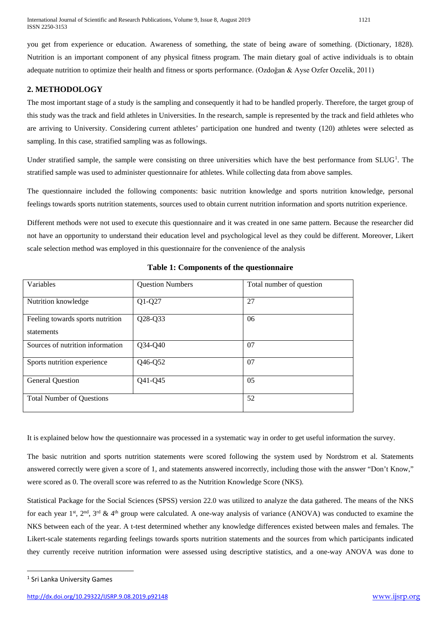you get from experience or education. Awareness of something, the state of being aware of something. (Dictionary, 1828). Nutrition is an important component of any physical fitness program. The main dietary goal of active individuals is to obtain adequate nutrition to optimize their health and fitness or sports performance. (Ozdoğan & Ayse Ozfer Ozcelik, 2011)

### **2. METHODOLOGY**

The most important stage of a study is the sampling and consequently it had to be handled properly. Therefore, the target group of this study was the track and field athletes in Universities. In the research, sample is represented by the track and field athletes who are arriving to University. Considering current athletes' participation one hundred and twenty (120) athletes were selected as sampling. In this case, stratified sampling was as followings.

Under stratified sample, the sample were consisting on three universities which have the best performance from SLUG<sup>[1](#page-1-0)</sup>. The stratified sample was used to administer questionnaire for athletes. While collecting data from above samples.

The questionnaire included the following components: basic nutrition knowledge and sports nutrition knowledge, personal feelings towards sports nutrition statements, sources used to obtain current nutrition information and sports nutrition experience.

Different methods were not used to execute this questionnaire and it was created in one same pattern. Because the researcher did not have an opportunity to understand their education level and psychological level as they could be different. Moreover, Likert scale selection method was employed in this questionnaire for the convenience of the analysis

| Variables                                      | <b>Question Numbers</b> | Total number of question |
|------------------------------------------------|-------------------------|--------------------------|
| Nutrition knowledge                            | $Q1-Q27$                | 27                       |
| Feeling towards sports nutrition<br>statements | Q28-Q33                 | 06                       |
| Sources of nutrition information               | Q34-Q40                 | 07                       |
| Sports nutrition experience                    | Q46-Q52                 | 07                       |
| <b>General Question</b>                        | Q41-Q45                 | 05                       |
| <b>Total Number of Ouestions</b>               |                         | 52                       |

### **Table 1: Components of the questionnaire**

It is explained below how the questionnaire was processed in a systematic way in order to get useful information the survey.

The basic nutrition and sports nutrition statements were scored following the system used by Nordstrom et al. Statements answered correctly were given a score of 1, and statements answered incorrectly, including those with the answer "Don't Know," were scored as 0. The overall score was referred to as the Nutrition Knowledge Score (NKS).

Statistical Package for the Social Sciences (SPSS) version 22.0 was utilized to analyze the data gathered. The means of the NKS for each year 1st, 2<sup>nd</sup>, 3<sup>rd</sup> & 4<sup>th</sup> group were calculated. A one-way analysis of variance (ANOVA) was conducted to examine the NKS between each of the year. A t-test determined whether any knowledge differences existed between males and females. The Likert-scale statements regarding feelings towards sports nutrition statements and the sources from which participants indicated they currently receive nutrition information were assessed using descriptive statistics, and a one-way ANOVA was done to

<span id="page-1-0"></span><sup>&</sup>lt;sup>1</sup> Sri Lanka University Games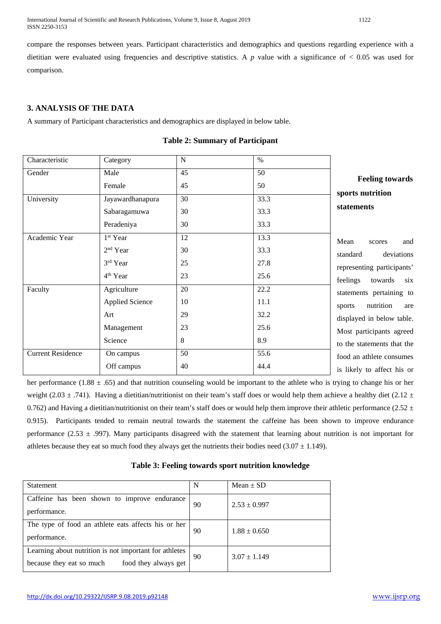International Journal of Scientific and Research Publications, Volume 9, Issue 8, August 2019 1122 ISSN 2250-3153

compare the responses between years. Participant characteristics and demographics and questions regarding experience with a dietitian were evaluated using frequencies and descriptive statistics. A  $p$  value with a significance of  $\lt$  0.05 was used for comparison.

### **3. ANALYSIS OF THE DATA**

A summary of Participant characteristics and demographics are displayed in below table.

| Characteristic           | Category               | $\mathbf N$ | $\%$ |                            |
|--------------------------|------------------------|-------------|------|----------------------------|
| Gender                   | Male                   | 45          | 50   |                            |
|                          | Female                 | 45          | 50   | <b>Feeling towards</b>     |
| University               | Jayawardhanapura       | 30          | 33.3 | sports nutrition           |
|                          | Sabaragamuwa           | 30          | 33.3 | statements                 |
|                          | Peradeniya             | 30          | 33.3 |                            |
| Academic Year            | 1 <sup>st</sup> Year   | 12          | 13.3 | Mean<br>and<br>scores      |
|                          | $2nd$ Year             | 30          | 33.3 | standard<br>deviations     |
|                          | 3rd Year               | 25          | 27.8 | representing participants' |
|                          | 4 <sup>th</sup> Year   | 23          | 25.6 | feelings<br>six<br>towards |
| Faculty                  | Agriculture            | 20          | 22.2 | statements pertaining to   |
|                          | <b>Applied Science</b> | 10          | 11.1 | nutrition<br>sports<br>are |
|                          | Art                    | 29          | 32.2 | displayed in below table.  |
|                          | Management             | 23          | 25.6 | Most participants agreed   |
|                          | Science                | 8           | 8.9  | to the statements that the |
| <b>Current Residence</b> | On campus              | 50          | 55.6 | food an athlete consumes   |
|                          | Off campus             | 40          | 44.4 | is likely to affect his or |

#### **Table 2: Summary of Participant**

her performance (1.88  $\pm$  .65) and that nutrition counseling would be important to the athlete who is trying to change his or her weight (2.03  $\pm$  .741). Having a dietitian/nutritionist on their team's staff does or would help them achieve a healthy diet (2.12  $\pm$ 0.762) and Having a dietitian/nutritionist on their team's staff does or would help them improve their athletic performance (2.52  $\pm$ 0.915). Participants tended to remain neutral towards the statement the caffeine has been shown to improve endurance performance (2.53  $\pm$  .997). Many participants disagreed with the statement that learning about nutrition is not important for athletes because they eat so much food they always get the nutrients their bodies need  $(3.07 \pm 1.149)$ .

| Statement                                                                                                  | N  | Mean $\pm$ SD    |
|------------------------------------------------------------------------------------------------------------|----|------------------|
| Caffeine has been shown to improve endurance<br>performance.                                               | 90 | $2.53 \pm 0.997$ |
| The type of food an athlete eats affects his or her<br>performance.                                        | 90 | $1.88 \pm 0.650$ |
| Learning about nutrition is not important for athletes<br>food they always get<br>because they eat so much | 90 | $3.07 \pm 1.149$ |

### **Table 3: Feeling towards sport nutrition knowledge**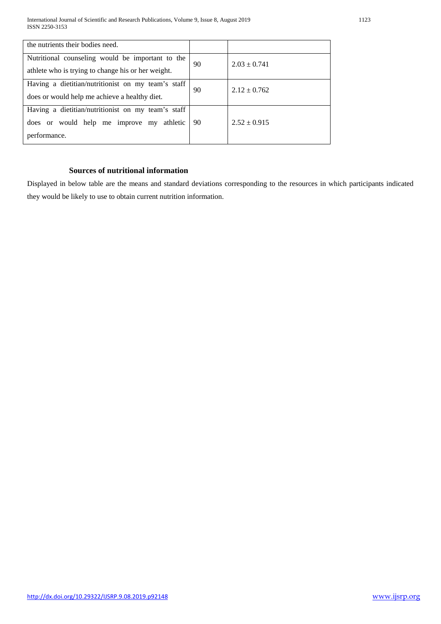| the nutrients their bodies need.                   |    |                  |  |
|----------------------------------------------------|----|------------------|--|
| Nutritional counseling would be important to the   | 90 | $2.03 \pm 0.741$ |  |
| athlete who is trying to change his or her weight. |    |                  |  |
| Having a dietitian/nutritionist on my team's staff | 90 | $2.12 \pm 0.762$ |  |
| does or would help me achieve a healthy diet.      |    |                  |  |
| Having a dietitian/nutritionist on my team's staff |    |                  |  |
| does or would help me improve my athletic          | 90 | $2.52 \pm 0.915$ |  |
| performance.                                       |    |                  |  |

## **Sources of nutritional information**

Displayed in below table are the means and standard deviations corresponding to the resources in which participants indicated they would be likely to use to obtain current nutrition information.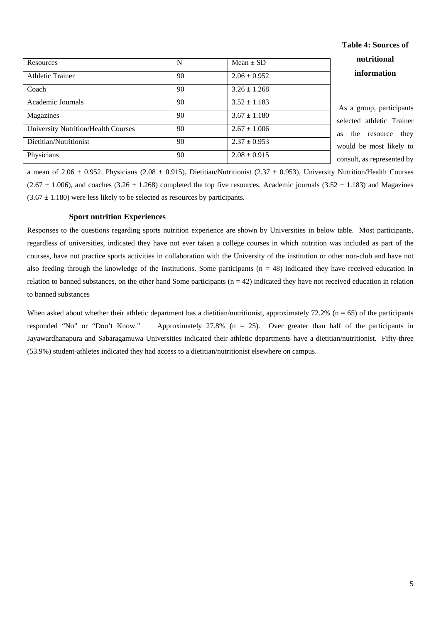| Resources                                  | N  | Mean $\pm$ SD    |  |
|--------------------------------------------|----|------------------|--|
| <b>Athletic Trainer</b>                    | 90 | $2.06 \pm 0.952$ |  |
| Coach                                      | 90 | $3.26 \pm 1.268$ |  |
| Academic Journals                          | 90 | $3.52 \pm 1.183$ |  |
| Magazines                                  | 90 | $3.67 \pm 1.180$ |  |
| <b>University Nutrition/Health Courses</b> | 90 | $2.67 \pm 1.006$ |  |
| Dietitian/Nutritionist                     | 90 | $2.37 \pm 0.953$ |  |
| Physicians                                 | 90 | $2.08 \pm 0.915$ |  |

# **Table 4: Sources of nutritional information**

a group, participants ted athletic Trainer the resource they d be most likely to alt, as represented by

a mean of 2.06  $\pm$  0.952. Physicians (2.08  $\pm$  0.915), Dietitian/Nutritionist (2.37  $\pm$  0.953), University Nutrition/Health Courses  $(2.67 \pm 1.006)$ , and coaches  $(3.26 \pm 1.268)$  completed the top five resources. Academic journals  $(3.52 \pm 1.183)$  and Magazines  $(3.67 \pm 1.180)$  were less likely to be selected as resources by participants.

#### **Sport nutrition Experiences**

Responses to the questions regarding sports nutrition experience are shown by Universities in below table. Most participants, regardless of universities, indicated they have not ever taken a college courses in which nutrition was included as part of the courses, have not practice sports activities in collaboration with the University of the institution or other non-club and have not also feeding through the knowledge of the institutions. Some participants  $(n = 48)$  indicated they have received education in relation to banned substances, on the other hand Some participants  $(n = 42)$  indicated they have not received education in relation to banned substances

When asked about whether their athletic department has a dietitian/nutritionist, approximately  $72.2\%$  (n = 65) of the participants responded "No" or "Don't Know." Approximately 27.8% (n = 25). Over greater than half of the participants in Jayawardhanapura and Sabaragamuwa Universities indicated their athletic departments have a dietitian/nutritionist. Fifty-three (53.9%) student-athletes indicated they had access to a dietitian/nutritionist elsewhere on campus.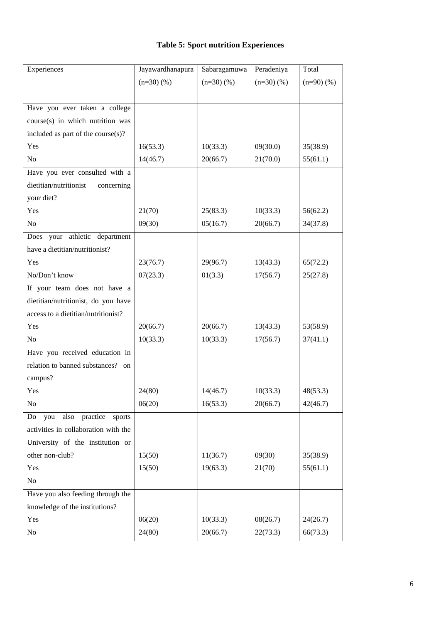## **Table 5: Sport nutrition Experiences**

| Experiences                             | Jayawardhanapura | Sabaragamuwa | Peradeniya | Total      |
|-----------------------------------------|------------------|--------------|------------|------------|
|                                         | $(n=30)(%$       | $(n=30)(%$   | $(n=30)(%$ | $(n=90)(%$ |
|                                         |                  |              |            |            |
| Have you ever taken a college           |                  |              |            |            |
| course(s) in which nutrition was        |                  |              |            |            |
| included as part of the course(s)?      |                  |              |            |            |
| Yes                                     | 16(53.3)         | 10(33.3)     | 09(30.0)   | 35(38.9)   |
| No                                      | 14(46.7)         | 20(66.7)     | 21(70.0)   | 55(61.1)   |
| Have you ever consulted with a          |                  |              |            |            |
| dietitian/nutritionist<br>concerning    |                  |              |            |            |
| your diet?                              |                  |              |            |            |
| Yes                                     | 21(70)           | 25(83.3)     | 10(33.3)   | 56(62.2)   |
| No                                      | 09(30)           | 05(16.7)     | 20(66.7)   | 34(37.8)   |
| Does your athletic department           |                  |              |            |            |
| have a dietitian/nutritionist?          |                  |              |            |            |
| Yes                                     | 23(76.7)         | 29(96.7)     | 13(43.3)   | 65(72.2)   |
| No/Don't know                           | 07(23.3)         | 01(3.3)      | 17(56.7)   | 25(27.8)   |
| If your team does not have a            |                  |              |            |            |
| dietitian/nutritionist, do you have     |                  |              |            |            |
| access to a dietitian/nutritionist?     |                  |              |            |            |
| Yes                                     | 20(66.7)         | 20(66.7)     | 13(43.3)   | 53(58.9)   |
| N <sub>o</sub>                          | 10(33.3)         | 10(33.3)     | 17(56.7)   | 37(41.1)   |
| Have you received education in          |                  |              |            |            |
| relation to banned substances? on       |                  |              |            |            |
| campus?                                 |                  |              |            |            |
| Yes                                     | 24(80)           | 14(46.7)     | 10(33.3)   | 48(53.3)   |
| No                                      | 06(20)           | 16(53.3)     | 20(66.7)   | 42(46.7)   |
| practice<br>Do<br>also<br>you<br>sports |                  |              |            |            |
| activities in collaboration with the    |                  |              |            |            |
| University of the institution or        |                  |              |            |            |
| other non-club?                         | 15(50)           | 11(36.7)     | 09(30)     | 35(38.9)   |
| Yes                                     | 15(50)           | 19(63.3)     | 21(70)     | 55(61.1)   |
| No                                      |                  |              |            |            |
| Have you also feeding through the       |                  |              |            |            |
| knowledge of the institutions?          |                  |              |            |            |
| Yes                                     | 06(20)           | 10(33.3)     | 08(26.7)   | 24(26.7)   |
| No                                      | 24(80)           | 20(66.7)     | 22(73.3)   | 66(73.3)   |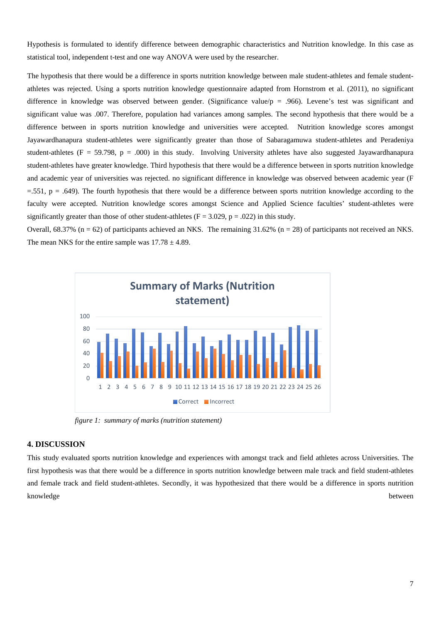Hypothesis is formulated to identify difference between demographic characteristics and Nutrition knowledge. In this case as statistical tool, independent t-test and one way ANOVA were used by the researcher.

The hypothesis that there would be a difference in sports nutrition knowledge between male student-athletes and female studentathletes was rejected. Using a sports nutrition knowledge questionnaire adapted from Hornstrom et al. (2011), no significant difference in knowledge was observed between gender. (Significance value/ $p = .966$ ). Levene's test was significant and significant value was .007. Therefore, population had variances among samples. The second hypothesis that there would be a difference between in sports nutrition knowledge and universities were accepted. Nutrition knowledge scores amongst Jayawardhanapura student-athletes were significantly greater than those of Sabaragamuwa student-athletes and Peradeniya student-athletes ( $F = 59.798$ ,  $p = .000$ ) in this study. Involving University athletes have also suggested Jayawardhanapura student-athletes have greater knowledge. Third hypothesis that there would be a difference between in sports nutrition knowledge and academic year of universities was rejected. no significant difference in knowledge was observed between academic year (F  $=$ .551, p = .649). The fourth hypothesis that there would be a difference between sports nutrition knowledge according to the faculty were accepted. Nutrition knowledge scores amongst Science and Applied Science faculties' student-athletes were significantly greater than those of other student-athletes ( $F = 3.029$ ,  $p = .022$ ) in this study.

Overall,  $68.37\%$  (n = 62) of participants achieved an NKS. The remaining 31.62% (n = 28) of participants not received an NKS. The mean NKS for the entire sample was  $17.78 \pm 4.89$ .



*figure 1: summary of marks (nutrition statement)*

### **4. DISCUSSION**

This study evaluated sports nutrition knowledge and experiences with amongst track and field athletes across Universities. The first hypothesis was that there would be a difference in sports nutrition knowledge between male track and field student-athletes and female track and field student-athletes. Secondly, it was hypothesized that there would be a difference in sports nutrition knowledge between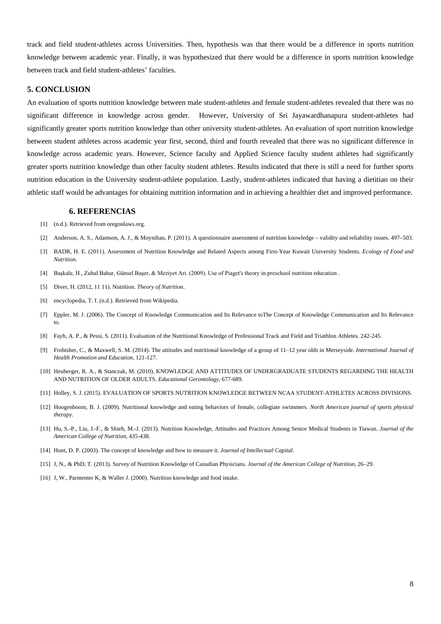track and field student-athletes across Universities. Then, hypothesis was that there would be a difference in sports nutrition knowledge between academic year. Finally, it was hypothesized that there would be a difference in sports nutrition knowledge between track and field student-athletes' faculties.

#### **5. CONCLUSION**

An evaluation of sports nutrition knowledge between male student-athletes and female student-athletes revealed that there was no significant difference in knowledge across gender. However, University of Sri Jayawardhanapura student-athletes had significantly greater sports nutrition knowledge than other university student-athletes. An evaluation of sport nutrition knowledge between student athletes across academic year first, second, third and fourth revealed that there was no significant difference in knowledge across academic years. However, Science faculty and Applied Science faculty student athletes had significantly greater sports nutrition knowledge than other faculty student athletes. Results indicated that there is still a need for further sports nutrition education in the University student-athlete population. Lastly, student-athletes indicated that having a dietitian on their athletic staff would be advantages for obtaining nutrition information and in achieving a healthier diet and improved performance.

#### **6. REFERENCIAS**

- [1] (n.d.). Retrieved from oregonlaws.org.
- [2] Anderson, A. S., Adamson, A. J., & Moynihan, P. (2011). A questionnaire assessment of nutrition knowledge validity and reliability issues. 497–503.
- [3] BADR, H. E. (2011). Assessment of Nutrition Knowledge and Related Aspects among First-Year Kuwait University Students. *Ecology of Food and Nutrition*.
- [4] Başkale, H., Zuhal Bahar, Günsel Başer, & Meziyet Ari. (2009). Use of Piaget's theory in preschool nutrition education .
- [5] Diver, H. (2012, 11 11). Nutrition. *Theory of Nutrition*.
- [6] encyclopedia, T. f. (n.d.). Retrieved from Wikipedia.
- [7] Eppler, M. J. (2006). The Concept of Knowledge Communication and Its Relevance toThe Concept of Knowledge Communication and Its Relevance to.
- [8] Fayh, A. P., & Pessi, S. (2011). Evaluation of the Nutritional Knowledge of Professional Track and Field and Triathlon Athletes. 242-245.
- [9] Frobisher, C., & Maxwell, S. M. (2014). The attitudes and nutritional knowledge of a group of 11–12 year olds in Merseyside. *International Journal of Health Promotion and Education*, 121-127.
- [10] Heuberger, R. A., & Stanczak, M. (2010). KNOWLEDGE AND ATTITUDES OF UNDERGRADUATE STUDENTS REGARDING THE HEALTH AND NUTRITION OF OLDER ADULTS. *Educational Gerontology*, 677-689.
- [11] Holley, S. J. (2015). EVALUATION OF SPORTS NUTRITION KNOWLEDGE BETWEEN NCAA STUDENT-ATHLETES ACROSS DIVISIONS.
- [12] Hoogenboom, B. J. (2009). Nutritional knowledge and eating behaviors of female, collegiate swimmers. *North American journal of sports physical therapy*.
- [13] Hu, S.-P., Liu, J.-F., & Shieh, M.-J. (2013). Nutrition Knowledge, Attitudes and Practices Among Senior Medical Students in Tiawan. *Journal of the American College of Nutrition*, 435-438.
- [14] Hunt, D. P. (2003). The concept of knowledge and how to measure it. *Journal of Intellectual Capital*.
- [15] J, N., & PhD, T. (2013). Survey of Nutrition Knowledge of Canadian Physicians. *Journal of the American College of Nutrition*, 26–29.
- [16] J, W., Parmenter K, & Waller J. (2000). Nutrition knowledge and food intake.